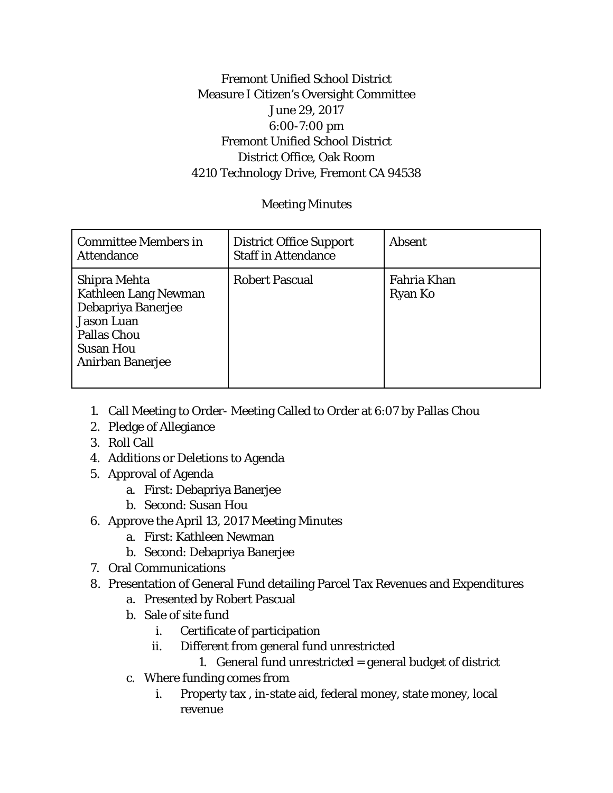## Fremont Unified School District Measure I Citizen's Oversight Committee June 29, 2017 6:00-7:00 pm Fremont Unified School District District Office, Oak Room 4210 Technology Drive, Fremont CA 94538

## Meeting Minutes

| <b>Committee Members in</b><br><b>Attendance</b>                                                                                                     | <b>District Office Support</b><br><b>Staff in Attendance</b> | <b>Absent</b>                 |
|------------------------------------------------------------------------------------------------------------------------------------------------------|--------------------------------------------------------------|-------------------------------|
| Shipra Mehta<br><b>Kathleen Lang Newman</b><br>Debapriya Banerjee<br><b>Jason Luan</b><br><b>Pallas Chou</b><br><b>Susan Hou</b><br>Anirban Banerjee | <b>Robert Pascual</b>                                        | Fahria Khan<br><b>Ryan Ko</b> |

- 1. Call Meeting to Order- Meeting Called to Order at 6:07 by Pallas Chou
- 2. Pledge of Allegiance
- 3. Roll Call
- 4. Additions or Deletions to Agenda
- 5. Approval of Agenda
	- a. First: Debapriya Banerjee
	- b. Second: Susan Hou
- 6. Approve the April 13, 2017 Meeting Minutes
	- a. First: Kathleen Newman
	- b. Second: Debapriya Banerjee
- 7. Oral Communications
- 8. Presentation of General Fund detailing Parcel Tax Revenues and Expenditures
	- a. Presented by Robert Pascual
	- b. Sale of site fund
		- i. Certificate of participation
		- ii. Different from general fund unrestricted
			- 1. General fund unrestricted = general budget of district
	- c. Where funding comes from
		- i. Property tax , in-state aid, federal money, state money, local revenue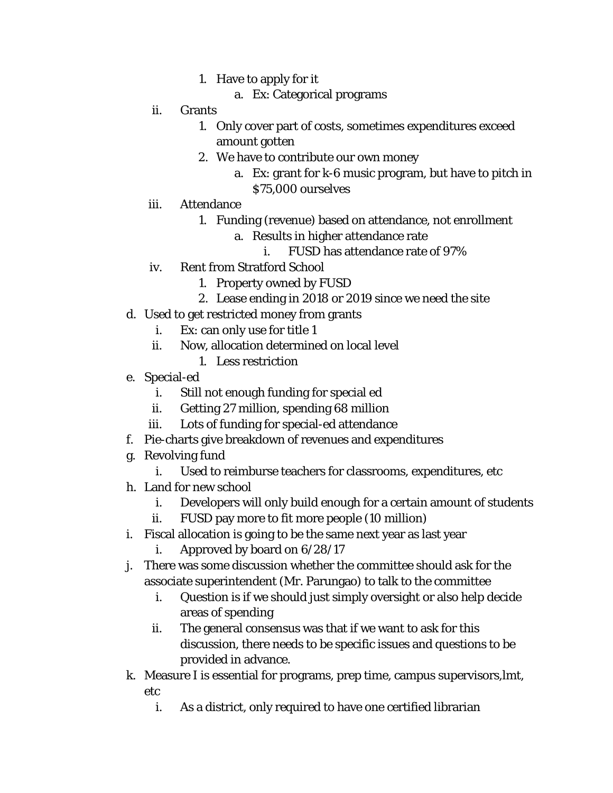- 1. Have to apply for it
	- a. Ex: Categorical programs
- ii. Grants
	- 1. Only cover part of costs, sometimes expenditures exceed amount gotten
	- 2. We have to contribute our own money
		- a. Ex: grant for k-6 music program, but have to pitch in \$75,000 ourselves
- iii. Attendance
	- 1. Funding (revenue) based on attendance, not enrollment
		- a. Results in higher attendance rate
			- i. FUSD has attendance rate of 97%
- iv. Rent from Stratford School
	- 1. Property owned by FUSD
	- 2. Lease ending in 2018 or 2019 since we need the site
- d. Used to get restricted money from grants
	- i. Ex: can only use for title 1
	- ii. Now, allocation determined on local level
		- 1. Less restriction
- e. Special-ed
	- i. Still not enough funding for special ed
	- ii. Getting 27 million, spending 68 million
	- iii. Lots of funding for special-ed attendance
- f. Pie-charts give breakdown of revenues and expenditures
- g. Revolving fund
	- i. Used to reimburse teachers for classrooms, expenditures, etc
- h. Land for new school
	- i. Developers will only build enough for a certain amount of students
	- ii. FUSD pay more to fit more people (10 million)
- i. Fiscal allocation is going to be the same next year as last year
	- i. Approved by board on 6/28/17
- j. There was some discussion whether the committee should ask for the associate superintendent (Mr. Parungao) to talk to the committee
	- i. Question is if we should just simply oversight or also help decide areas of spending
	- ii. The general consensus was that if we want to ask for this discussion, there needs to be specific issues and questions to be provided in advance.
- k. Measure I is essential for programs, prep time, campus supervisors,lmt, etc
	- i. As a district, only required to have one certified librarian